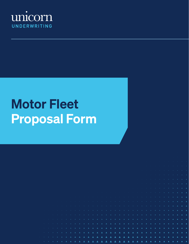

# Motor Fleet Proposal Form

|  |                                                                                                                          |  |  |  |  |  |  |  |  |  |  |  | A A A A A LE CERTA DE LA BILA DE LA BILA DE LA BILA DE LA BILA DE LA BILA DE LA BILA DE LA BILA DE LA BILA DE LA BILA DE LA BILA DE LA BILA DE LA BILA DE LA BILA DE LA BILA DE LA BILA DE LA BILA DE LA BILA DE LA BILA DE LA                                      |  |                                                                                                                                                                                                                                                                                                                                                                                                                                                                     |  |  |
|--|--------------------------------------------------------------------------------------------------------------------------|--|--|--|--|--|--|--|--|--|--|--|---------------------------------------------------------------------------------------------------------------------------------------------------------------------------------------------------------------------------------------------------------------------|--|---------------------------------------------------------------------------------------------------------------------------------------------------------------------------------------------------------------------------------------------------------------------------------------------------------------------------------------------------------------------------------------------------------------------------------------------------------------------|--|--|
|  | <u>. Kanada wa manazari katika makama wa katika makama wa manaza wa wakazi wa wakazi wa katika makama wa wakazi wa m</u> |  |  |  |  |  |  |  |  |  |  |  | A PARTIES AND RESIDENCE AND RESIDENCE AND RESIDENCE AND RESIDENCE AND RESIDENCE ASSOCIATES AND RESIDENCE ASSOCIATES AND RESIDENCE ASSOCIATES AND RESIDENCE ASSOCIATES OF A RESIDENCE AND RESIDENCE ASSOCIATES OF A RESIDENCE A                                      |  |                                                                                                                                                                                                                                                                                                                                                                                                                                                                     |  |  |
|  |                                                                                                                          |  |  |  |  |  |  |  |  |  |  |  | $\mathbf{A} = \mathbf{A} \cdot \mathbf{A}$ , and $\mathbf{A} = \mathbf{A} \cdot \mathbf{A}$ , and the set of the set of the set of the set of the set of the set of the set of the set of the set of the set of the set of the set of the set of the set of the set |  |                                                                                                                                                                                                                                                                                                                                                                                                                                                                     |  |  |
|  |                                                                                                                          |  |  |  |  |  |  |  |  |  |  |  |                                                                                                                                                                                                                                                                     |  |                                                                                                                                                                                                                                                                                                                                                                                                                                                                     |  |  |
|  |                                                                                                                          |  |  |  |  |  |  |  |  |  |  |  |                                                                                                                                                                                                                                                                     |  |                                                                                                                                                                                                                                                                                                                                                                                                                                                                     |  |  |
|  |                                                                                                                          |  |  |  |  |  |  |  |  |  |  |  |                                                                                                                                                                                                                                                                     |  | $\label{eq:2.1} \frac{1}{\sqrt{2}}\left(\frac{1}{\sqrt{2}}\right)^2\left(\frac{1}{\sqrt{2}}\right)^2\left(\frac{1}{\sqrt{2}}\right)^2\left(\frac{1}{\sqrt{2}}\right)^2\left(\frac{1}{\sqrt{2}}\right)^2\left(\frac{1}{\sqrt{2}}\right)^2\left(\frac{1}{\sqrt{2}}\right)^2\left(\frac{1}{\sqrt{2}}\right)^2\left(\frac{1}{\sqrt{2}}\right)^2\left(\frac{1}{\sqrt{2}}\right)^2\left(\frac{1}{\sqrt{2}}\right)^2\left(\frac{1}{\sqrt{2}}\right)^2\left(\frac{1}{\sqrt$ |  |  |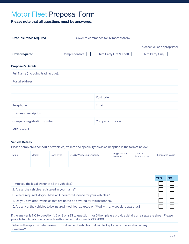# Motor Fleet Proposal Form

# Please note that all questions must be answered.

| Date insurance required | Cover to commence for 12 months from: |                           |                              |  |  |
|-------------------------|---------------------------------------|---------------------------|------------------------------|--|--|
|                         |                                       |                           | (please tick as appropriate) |  |  |
| <b>Cover required</b>   | Comprehensive:                        | Third Party Fire & Theft: | Third Party Only:            |  |  |
|                         |                                       |                           |                              |  |  |

# Proposer's Details

| Full Name (including trading title): |                   |  |  |  |
|--------------------------------------|-------------------|--|--|--|
| Postal address:                      |                   |  |  |  |
|                                      |                   |  |  |  |
|                                      | Postcode:         |  |  |  |
| Telephone:                           | Email:            |  |  |  |
| <b>Business description:</b>         |                   |  |  |  |
| Company registration number:         | Company turnover: |  |  |  |
| MID contact:                         |                   |  |  |  |

### Vehicle Details

Please complete a schedule of vehicles, trailers and special types as at inception in the format below:

| <b>Make</b> | Model | Body Type | CC/GVW/Seating Capacity | Registration<br><b>Number</b> | Year of<br>Manufacture | <b>Estimated Value</b> |
|-------------|-------|-----------|-------------------------|-------------------------------|------------------------|------------------------|
|             |       |           |                         |                               |                        |                        |

|                                                                                                  | NO |
|--------------------------------------------------------------------------------------------------|----|
| 1. Are you the legal owner of all the vehicles?                                                  |    |
| 2. Are all the vehicles registered in your name?                                                 |    |
| 3. Where required, do you have an Operator's Licence for your vehicles?                          |    |
| 4. Do you own other vehicles that are not to be covered by this insurance?                       |    |
| 5. Are any of the vehicles to be insured modified, adapted or fitted with any special apparatus? |    |

If the answer is NO to question 1, 2 or 3 or YES to question 4 or 5 then please provide details on a separate sheet. Please provide full details of any vehicle with a value that exceeds £100,000

What is the approximate maximum total value of vehicles that will be kept at any one location at any one time?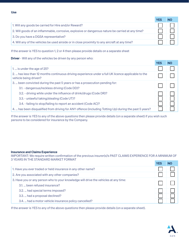|                                                                                                   | <b>YES</b> |  |
|---------------------------------------------------------------------------------------------------|------------|--|
| 1. Will any goods be carried for Hire and/or Reward?                                              |            |  |
| 2. Will goods of an inflammable, corrosive, explosive or dangerous nature be carried at any time? |            |  |
| 3. Do you have a DGSA representative?                                                             |            |  |
| 4. Will any of the vehicles be used airside or in close proximity to any aircraft at any time?    |            |  |

If the answer is YES to question 1, 2 or 4 then please provide details on a separate sheet

**Driver** - Will any of the vehicles be driven by any person who:

|                                                                                                                              | <b>YES</b> | <b>NO</b> |
|------------------------------------------------------------------------------------------------------------------------------|------------|-----------|
| 1.  is under the age of 25?                                                                                                  |            |           |
| 2.  has less than 12 months continuous driving experience under a full UK licence applicable to the<br>vehicle being driven? |            |           |
| 3.  been convicted during the past 5 years or has a prosecution pending for:<br>3.1. - dangerous/reckless driving (Code DD)? |            |           |
| 3.2. - driving while under the influence of drink/drugs (Code DR)?                                                           |            |           |
| 3.3. - unlawful taking/stealing (Code UT)?                                                                                   |            |           |
| 3.4. - failing to stop/failing to report an accident (Code AC)?                                                              |            |           |
| 4.  has been disqualified from driving for ANY offence (including Totting Up) during the past 5 years?                       |            |           |

If the answer is YES to any of the above questions then please provide details (on a separate sheet) if you wish such persons to be considered for insurance by the Company.

## Insurance and Claims Experience

IMPORTANT: We require written confirmation of the previous insurer(s)'s PAST CLAIMS EXPERIENCE FOR A MINIMUM OF 3 YEARS IN THE STANDARD MARKET FORMAT

|                                                                                      | <b>YES</b> |  |
|--------------------------------------------------------------------------------------|------------|--|
| 1. Have you ever traded or held insurance in any other name?                         |            |  |
| 2. Are you associated with any other companies?                                      |            |  |
| 3. Have you or any person who to your knowledge will drive the vehicles at any time: |            |  |
| 3.1.  been refused insurance?                                                        |            |  |
| 3.2.  had special terms imposed?                                                     |            |  |
| 3.3.  had a proposal declined?                                                       |            |  |
| 3.4.  had a motor vehicle insurance policy cancelled?                                |            |  |

If the answer is YES to any of the above questions then please provide details (on a separate sheet).